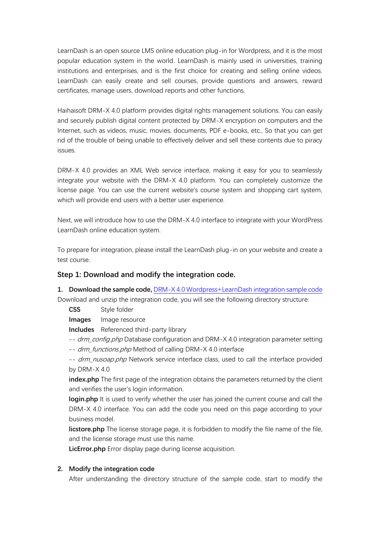LearnDash is an open source LMS online education plug-in for Wordpress, and it is the most popular education system in the world. LearnDash is mainly used in universities, training institutions and enterprises, and is the first choice for creating and selling online videos. LearnDash can easily create and sell courses, provide questions and answers, reward certificates, manage users, download reports and other functions.

Haihaisoft DRM-X 4.0 platform provides digital rights management solutions. You can easily and securely publish digital content protected by DRM-X encryption on computers and the Internet, such as videos, music, movies, documents, PDF e-books, etc., So that you can get rid of the trouble of being unable to effectively deliver and sell these contents due to piracy issues.

DRM-X 4.0 provides an XML Web service interface, making it easy for you to seamlessly integrate your website with the DRM-X 4.0 platform. You can completely customize the license page. You can use the current website's course system and shopping cart system, which will provide end users with a better user experience.

Next, we will introduce how to use the DRM-X 4.0 interface to integrate with your WordPress LearnDash online education system.

To prepare for integration, please install the LearnDash plug-in on your website and create a test course.

## **Step 1: Download and modify the integration code.**

**1. Download the sample code,** [DRM-X 4.0 Wordpress+LearnDash integration sample code](https://www.drm-x.com/download/DRM-X_4.0_Integration/DRM-X4.0_Wordpress_LearnDash_Integration_Code_EN.zip)

Download and unzip the integration code, you will see the following directory structure:

**CSS** Style folder

**Images** Image resource

**Includes** Referenced third-party library

- -- drm\_config.php Database configuration and DRM-X 4.0 integration parameter setting
- -- drm\_functions.php Method of calling DRM-X 4.0 interface

-- drm\_nusoap.php Network service interface class, used to call the interface provided by DRM-X 4.0

**index.php** The first page of the integration obtains the parameters returned by the client and verifies the user's login information.

**login.php** It is used to verify whether the user has joined the current course and call the DRM-X 4.0 interface. You can add the code you need on this page according to your business model.

**licstore.php** The license storage page, it is forbidden to modify the file name of the file, and the license storage must use this name.

**LicError.php** Error display page during license acquisition.

## **2. Modify the integration code**

After understanding the directory structure of the sample code, start to modify the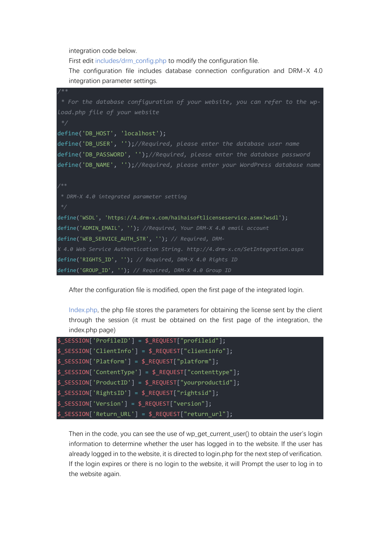integration code below.

First edit includes/drm\_config.php to modify the configuration file.

The configuration file includes database connection configuration and DRM-X 4.0 integration parameter settings.

| $7**$                                                                          |
|--------------------------------------------------------------------------------|
| * For the database configuration of your website, you can refer to the wp-     |
| Load.php file of your website                                                  |
| $*$                                                                            |
| define('DB_HOST', 'localhost');                                                |
| define('DB_USER', '');//Required, please enter the database user name          |
| define('DB_PASSWORD', '');//Required, please enter the database password       |
| define('DB_NAME', '');//Required, please enter your WordPress database name    |
|                                                                                |
| $7**$                                                                          |
| * DRM-X 4.0 integrated parameter setting                                       |
| $*$                                                                            |
| define('WSDL', 'https://4.drm-x.com/haihaisoftlicenseservice.asmx?wsdl');      |
| define('ADMIN_EMAIL', ''); //Required, Your DRM-X 4.0 email account            |
| define('WEB_SERVICE_AUTH_STR', ''); // Required, DRM-                          |
| X 4.0 Web Service Authentication String. http://4.drm-x.cn/SetIntegration.aspx |
| define('RIGHTS_ID', ''); // Required, DRM-X 4.0 Rights ID                      |
| define('GROUP_ID', ''); // Required, DRM-X 4.0 Group ID                        |

After the configuration file is modified, open the first page of the integrated login.

Index.php, the php file stores the parameters for obtaining the license sent by the client through the session (it must be obtained on the first page of the integration, the index.php page)

```
$_SESSION['ProfileID'] = $_REQUEST["profileid"]; 
$_SESSION['ClientInfo'] = $_REQUEST["clientinfo"];
$_SESSION['Platform'] = $_REQUEST["platform"];
$_SESSION['ContentType'] = $_REQUEST["contenttype"];
$_SESSION['ProductID'] = $_REQUEST["yourproductid"];
$_SESSION['RightsID'] = $_REQUEST["rightsid"];
$_SESSION['Version'] = $_REQUEST["version"];
$_SESSION['Return_URL'] = $_REQUEST["return_url"];
```
Then in the code, you can see the use of wp\_get\_current\_user() to obtain the user's login information to determine whether the user has logged in to the website. If the user has already logged in to the website, it is directed to login.php for the next step of verification. If the login expires or there is no login to the website, it will Prompt the user to log in to the website again.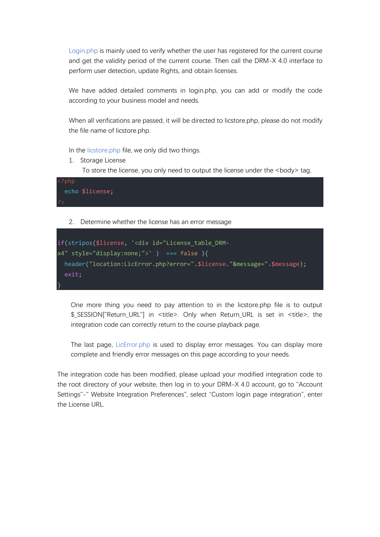Login.php is mainly used to verify whether the user has registered for the current course and get the validity period of the current course. Then call the DRM-X 4.0 interface to perform user detection, update Rights, and obtain licenses.

We have added detailed comments in login.php, you can add or modify the code according to your business model and needs.

When all verifications are passed, it will be directed to licstore.php, please do not modify the file name of licstore.php.

In the licstore.php file, we only did two things.

1. Storage License To store the license, you only need to output the license under the <br/>body> tag.



2. Determine whether the license has an error message

```
if(stripos($license, '<div id="License_table_DRM-
x4" style="display:none;">' ) === false ){
 header("location:LicError.php?error=".$license."&message=".$message);
  exit;
}
```
One more thing you need to pay attention to in the licstore.php file is to output \$\_SESSION["Return\_URL"] in <title>. Only when Return\_URL is set in <title>, the integration code can correctly return to the course playback page.

The last page, LicError.php is used to display error messages. You can display more complete and friendly error messages on this page according to your needs.

The integration code has been modified, please upload your modified integration code to the root directory of your website, then log in to your DRM-X 4.0 account, go to "Account Settings"-" Website Integration Preferences", select "Custom login page integration", enter the License URL.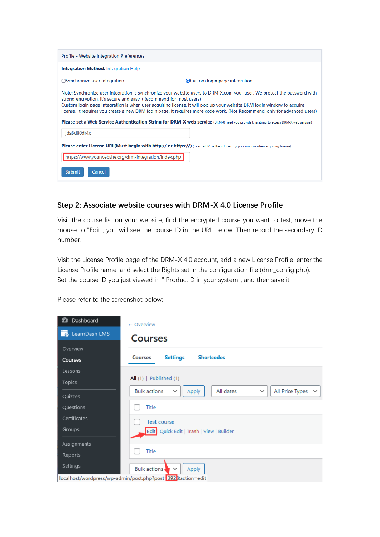| Profile - Website Integration Preferences                                                                                                                                                                                                                                                                                                                                                                                                                                                                                                                                                         |                                 |  |  |  |  |
|---------------------------------------------------------------------------------------------------------------------------------------------------------------------------------------------------------------------------------------------------------------------------------------------------------------------------------------------------------------------------------------------------------------------------------------------------------------------------------------------------------------------------------------------------------------------------------------------------|---------------------------------|--|--|--|--|
| <b>Integration Method: Integration Help</b>                                                                                                                                                                                                                                                                                                                                                                                                                                                                                                                                                       |                                 |  |  |  |  |
| ○ Synchronize user integration                                                                                                                                                                                                                                                                                                                                                                                                                                                                                                                                                                    | ● Custom login page integration |  |  |  |  |
| Note: Synchronize user integration is synchronize your website users to DRM-X.com your user. We protect the password with<br>strong encryption. It's secure and easy. (Recommend for most users)<br>Custom login page integration is when user acquiring license, it will pop up your website DRM login window to acquire<br>license. It requires you create a new DRM login page. It requires more code work. (Not Recommend, only for advanced users)<br>Please set a Web Service Authentication String for DRM-X web service (DRM-X need you provide this string to access DRM-X web service.) |                                 |  |  |  |  |
| ida8d80dr4x                                                                                                                                                                                                                                                                                                                                                                                                                                                                                                                                                                                       |                                 |  |  |  |  |
| Please enter License URL(Must begin with http:// or https://) (License URL is the url used by pop window when acquiring license)                                                                                                                                                                                                                                                                                                                                                                                                                                                                  |                                 |  |  |  |  |
| https://www.yourwebsite.org/drm-integration/index.php                                                                                                                                                                                                                                                                                                                                                                                                                                                                                                                                             |                                 |  |  |  |  |
| Submit<br>Cancel                                                                                                                                                                                                                                                                                                                                                                                                                                                                                                                                                                                  |                                 |  |  |  |  |

## **Step 2: Associate website courses with DRM-X 4.0 License Profile**

Visit the course list on your website, find the encrypted course you want to test, move the mouse to "Edit", you will see the course ID in the URL below. Then record the secondary ID number.

Visit the License Profile page of the DRM-X 4.0 account, add a new License Profile, enter the License Profile name, and select the Rights set in the configuration file (drm\_config.php). Set the course ID you just viewed in " ProductID in your system", and then save it.

Please refer to the screenshot below:

| Dashboard<br>æ      | $\leftarrow$ Overview                                                                               |
|---------------------|-----------------------------------------------------------------------------------------------------|
| LearnDash LMS<br>一面 | <b>Courses</b>                                                                                      |
| Overview            |                                                                                                     |
| Courses             | <b>Shortcodes</b><br><b>Settings</b><br><b>Courses</b>                                              |
| Lessons             |                                                                                                     |
| <b>Topics</b>       | All $(1)$   Published $(1)$                                                                         |
| Quizzes             | All Price Types $\vee$<br><b>Bulk actions</b><br>All dates<br>$\checkmark$<br>Apply<br>$\checkmark$ |
| <b>Ouestions</b>    | Title                                                                                               |
| Certificates        | <b>Test course</b>                                                                                  |
| Groups              | Edit   Quick Edit   Trash   View   Builder                                                          |
| Assignments         |                                                                                                     |
| Reports             | Title                                                                                               |
| Settings            | <b>Bulk actions</b><br>Apply<br>$\check{ }$                                                         |
|                     | localhost/wordpress/wp-admin/post.php?post=392 kaction=edit                                         |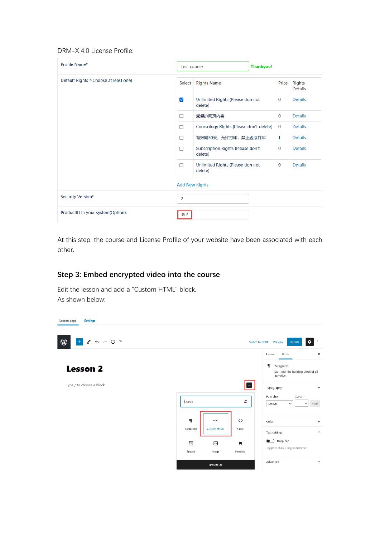#### DRM-X 4.0 License Profile:

| Profile Name*                         | <b>Test course</b>    |                                              | <b>Thankyou!</b> |             |                                 |  |
|---------------------------------------|-----------------------|----------------------------------------------|------------------|-------------|---------------------------------|--|
| Default Rights *(Choose at least one) | Select                | <b>Rights Name</b>                           |                  | Price       | <b>Rights</b><br><b>Details</b> |  |
|                                       | $\blacktriangledown$  | Unlimited Rights (Please don not<br>delete)  |                  | $\bf{0}$    | <b>Details</b>                  |  |
|                                       | □                     | 受保护网页内容                                      |                  | $\bf{0}$    | <b>Details</b>                  |  |
|                                       | п                     | Coursology Rights (Please don't delete)      |                  | $\bf{0}$    | <b>Details</b>                  |  |
|                                       | п                     | 有效期30天,允许打印,禁止虚拟打印                           |                  | 1           | <b>Details</b>                  |  |
|                                       | п                     | Subscription Rights (Please don't<br>delete) |                  | $\mathbf 0$ | <b>Details</b>                  |  |
|                                       | П                     | Unlimited Rights (Please don not<br>delete)  |                  | $\bf{0}$    | <b>Details</b>                  |  |
|                                       | <b>Add New Rights</b> |                                              |                  |             |                                 |  |
| Security Version*                     | $\overline{2}$        |                                              |                  |             |                                 |  |
| ProductID in your system(Option):     | 392                   |                                              |                  |             |                                 |  |

At this step, the course and License Profile of your website have been associated with each other.

## **Step 3: Embed encrypted video into the course**

Edit the lesson and add a "Custom HTML" block. As shown below: